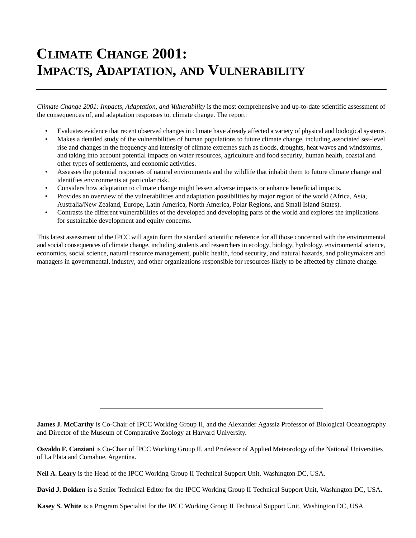## **CLIMATE CHANGE 2001: IMPACTS, ADAPTATION, AND VULNERABILITY**

*Climate Change 2001: Impacts, Adaptation, and Vulnerability* is the most comprehensive and up-to-date scientific assessment of the consequences of, and adaptation responses to, climate change. The report:

- Evaluates evidence that recent observed changes in climate have already affected a variety of physical and biological systems.
- Makes a detailed study of the vulnerabilities of human populations to future climate change, including associated sea-level rise and changes in the frequency and intensity of climate extremes such as floods, droughts, heat waves and windstorms, and taking into account potential impacts on water resources, agriculture and food security, human health, coastal and other types of settlements, and economic activities.
- Assesses the potential responses of natural environments and the wildlife that inhabit them to future climate change and identifies environments at particular risk.
- Considers how adaptation to climate change might lessen adverse impacts or enhance beneficial impacts.
- Provides an overview of the vulnerabilities and adaptation possibilities by major region of the world (Africa, Asia, Australia/New Zealand, Europe, Latin America, North America, Polar Regions, and Small Island States).
- Contrasts the different vulnerabilities of the developed and developing parts of the world and explores the implications for sustainable development and equity concerns.

This latest assessment of the IPCC will again form the standard scientific reference for all those concerned with the environmental and social consequences of climate change, including students and researchers in ecology, biology, hydrology, environmental science, economics, social science, natural resource management, public health, food security, and natural hazards, and policymakers and managers in governmental, industry, and other organizations responsible for resources likely to be affected by climate change.

**James J. McCarthy** is Co-Chair of IPCC Working Group II, and the Alexander Agassiz Professor of Biological Oceanography and Director of the Museum of Comparative Zoology at Harvard University.

**Osvaldo F. Canziani** is Co-Chair of IPCC Working Group II, and Professor of Applied Meteorology of the National Universities of La Plata and Comahue, Argentina.

**Neil A. Leary** is the Head of the IPCC Working Group II Technical Support Unit, Washington DC, USA.

**David J. Dokken** is a Senior Technical Editor for the IPCC Working Group II Technical Support Unit, Washington DC, USA.

**Kasey S. White** is a Program Specialist for the IPCC Working Group II Technical Support Unit, Washington DC, USA.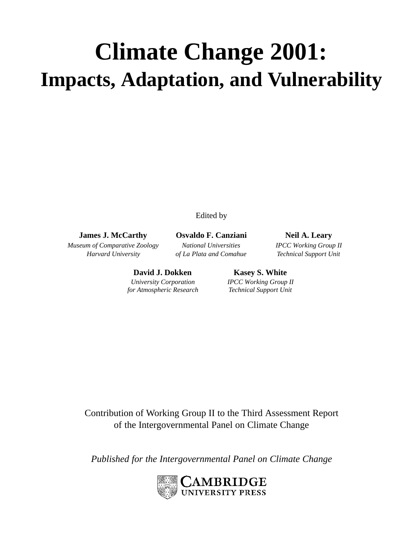# **Climate Change 2001: Impacts, Adaptation, and Vulnerability**

Edited by

**James J. McCarthy Osvaldo F. Canziani Neil A. Leary**

*Museum of Comparative Zoology National Universities IPCC Working Group II Harvard University of La Plata and Comahue Technical Support Unit*

> **David J. Dokken Kasey S. White** *University Corporation IPCC Working Group II*

*for Atmospheric Research Technical Support Unit*

Contribution of Working Group II to the Third Assessment Report of the Intergovernmental Panel on Climate Change

*Published for the Intergovernmental Panel on Climate Change*

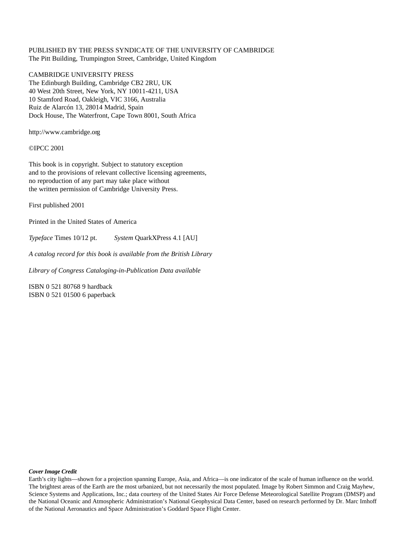#### PUBLISHED BY THE PRESS SYNDICATE OF THE UNIVERSITY OF CAMBRIDGE The Pitt Building, Trumpington Street, Cambridge, United Kingdom

#### CAMBRIDGE UNIVERSITY PRESS

The Edinburgh Building, Cambridge CB2 2RU, UK 40 West 20th Street, New York, NY 10011-4211, USA 10 Stamford Road, Oakleigh, VIC 3166, Australia Ruiz de Alarcón 13, 28014 Madrid, Spain Dock House, The Waterfront, Cape Town 8001, South Africa

http://www.cambridge.org

©IPCC 2001

This book is in copyright. Subject to statutory exception and to the provisions of relevant collective licensing agreements, no reproduction of any part may take place without the written permission of Cambridge University Press.

First published 2001

Printed in the United States of America

*Typeface* Times 10/12 pt. *System* QuarkXPress 4.1 [AU]

*A catalog record for this book is available from the British Library*

*Library of Congress Cataloging-in-Publication Data available*

ISBN 0 521 80768 9 hardback ISBN 0 521 01500 6 paperback

#### *Cover Image Credit*

Earth's city lights—shown for a projection spanning Europe, Asia, and Africa—is one indicator of the scale of human influence on the world. The brightest areas of the Earth are the most urbanized, but not necessarily the most populated. Image by Robert Simmon and Craig Mayhew, Science Systems and Applications, Inc.; data courtesy of the United States Air Force Defense Meteorological Satellite Program (DMSP) and the National Oceanic and Atmospheric Administration's National Geophysical Data Center, based on research performed by Dr. Marc Imhoff of the National Aeronautics and Space Administration's Goddard Space Flight Center.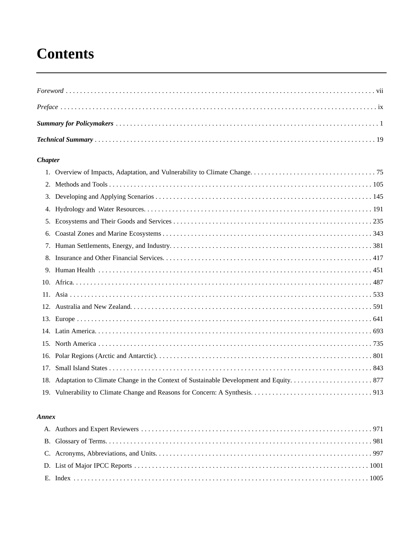# **Contents**

#### **Chapter**

| 5. |  |
|----|--|
| 6. |  |
|    |  |
|    |  |
|    |  |
|    |  |
|    |  |
|    |  |
|    |  |
|    |  |
|    |  |
|    |  |
|    |  |
|    |  |
|    |  |

#### Annex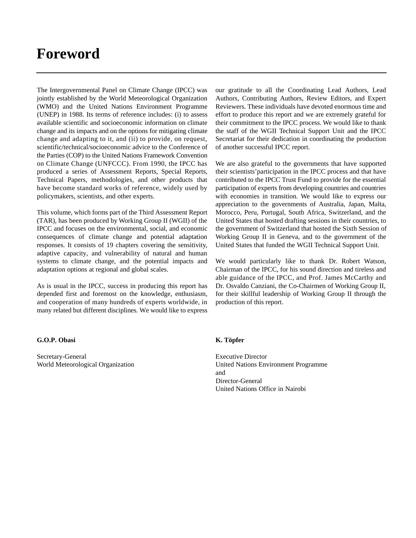### **Foreword**

The Intergovernmental Panel on Climate Change (IPCC) was jointly established by the World Meteorological Organization (WMO) and the United Nations Environment Programme (UNEP) in 1988. Its terms of reference includes: (i) to assess available scientific and socioeconomic information on climate change and its impacts and on the options for mitigating climate change and adapting to it, and (ii) to provide, on request, scientific/technical/socioeconomic advice to the Conference of the Parties (COP) to the United Nations Framework Convention on Climate Change (UNFCCC). From 1990, the IPCC has produced a series of Assessment Reports, Special Reports, Technical Papers, methodologies, and other products that have become standard works of reference, widely used by policymakers, scientists, and other experts.

This volume, which forms part of the Third Assessment Report (TAR), has been produced by Working Group II (WGII) of the IPCC and focuses on the environmental, social, and economic consequences of climate change and potential adaptation responses. It consists of 19 chapters covering the sensitivity, adaptive capacity, and vulnerability of natural and human systems to climate change, and the potential impacts and adaptation options at regional and global scales.

As is usual in the IPCC, success in producing this report has depended first and foremost on the knowledge, enthusiasm, and cooperation of many hundreds of experts worldwide, in many related but different disciplines. We would like to express

our gratitude to all the Coordinating Lead Authors, Lead Authors, Contributing Authors, Review Editors, and Expert Reviewers. These individuals have devoted enormous time and effort to produce this report and we are extremely grateful for their commitment to the IPCC process. We would like to thank the staff of the WGII Technical Support Unit and the IPCC Secretariat for their dedication in coordinating the production of another successful IPCC report.

We are also grateful to the governments that have supported their scientists'participation in the IPCC process and that have contributed to the IPCC Trust Fund to provide for the essential participation of experts from developing countries and countries with economies in transition. We would like to express our appreciation to the governments of Australia, Japan, Malta, Morocco, Peru, Portugal, South Africa, Switzerland, and the United States that hosted drafting sessions in their countries, to the government of Switzerland that hosted the Sixth Session of Working Group II in Geneva, and to the government of the United States that funded the WGII Technical Support Unit.

We would particularly like to thank Dr. Robert Watson, Chairman of the IPCC, for his sound direction and tireless and able guidance of the IPCC, and Prof. James McCarthy and Dr. Osvaldo Canziani, the Co-Chairmen of Working Group II, for their skillful leadership of Working Group II through the production of this report.

#### **G.O.P. Obasi**

Secretary-General World Meteorological Organization

#### **K. Töpfer**

Executive Director United Nations Environment Programme and Director-General United Nations Office in Nairobi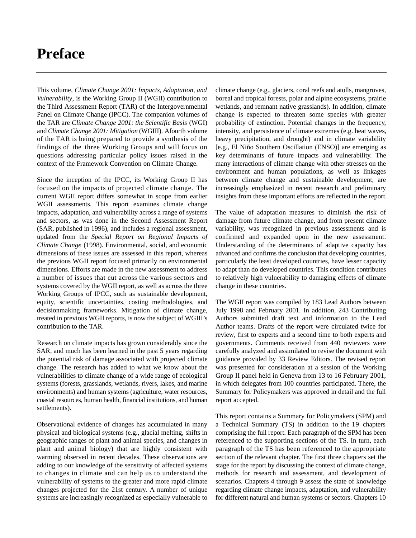### **Preface**

This volume, *Climate Change 2001: Impacts, Adaptation, and Vulnerability*, is the Working Group II (WGII) contribution to the Third Assessment Report (TAR) of the Intergovernmental Panel on Climate Change (IPCC). The companion volumes of the TAR are *Climate Change 2001: the Scientific Basis* (WGI) and *Climate Change 2001: Mitigation* (WGIII). Afourth volume of the TAR is being prepared to provide a synthesis of the findings of the three Working Groups and will focus on questions addressing particular policy issues raised in the context of the Framework Convention on Climate Change.

Since the inception of the IPCC, its Working Group II has focused on the impacts of projected climate change. The current WGII report differs somewhat in scope from earlier WGII assessments. This report examines climate change impacts, adaptation, and vulnerability across a range of systems and sectors, as was done in the Second Assessment Report (SAR, published in 1996), and includes a regional assessment, updated from the *Special Report on Regional Impacts of Climate Change* (1998). Environmental, social, and economic dimensions of these issues are assessed in this report, whereas the previous WGII report focused primarily on environmental dimensions. Efforts are made in the new assessment to address a number of issues that cut across the various sectors and systems covered by the WGII report, as well as across the three Working Groups of IPCC, such as sustainable development, equity, scientific uncertainties, costing methodologies, and decisionmaking frameworks. Mitigation of climate change, treated in previous WGII reports, is now the subject of WGIII's contribution to the TAR.

Research on climate impacts has grown considerably since the SAR, and much has been learned in the past 5 years regarding the potential risk of damage associated with projected climate change. The research has added to what we know about the vulnerabilities to climate change of a wide range of ecological systems (forests, grasslands, wetlands, rivers, lakes, and marine environments) and human systems (agriculture, water resources, coastal resources, human health, financial institutions, and human settlements).

Observational evidence of changes has accumulated in many physical and biological systems (e.g., glacial melting, shifts in geographic ranges of plant and animal species, and changes in plant and animal biology) that are highly consistent with warming observed in recent decades. These observations are adding to our knowledge of the sensitivity of affected systems to changes in climate and can help us to understand the vulnerability of systems to the greater and more rapid climate changes projected for the 21st century. A number of unique systems are increasingly recognized as especially vulnerable to

climate change (e.g., glaciers, coral reefs and atolls, mangroves, boreal and tropical forests, polar and alpine ecosystems, prairie wetlands, and remnant native grasslands). In addition, climate change is expected to threaten some species with greater probability of extinction. Potential changes in the frequency, intensity, and persistence of climate extremes (e.g. heat waves, heavy precipitation, and drought) and in climate variability [e.g., El Niño Southern Oscillation (ENSO)] are emerging as key determinants of future impacts and vulnerability. The many interactions of climate change with other stresses on the environment and human populations, as well as linkages between climate change and sustainable development, are increasingly emphasized in recent research and preliminary insights from these important efforts are reflected in the report.

The value of adaptation measures to diminish the risk of damage from future climate change, and from present climate variability, was recognized in previous assessments and is confirmed and expanded upon in the new assessment. Understanding of the determinants of adaptive capacity has advanced and confirms the conclusion that developing countries, particularly the least developed countries, have lesser capacity to adapt than do developed countries. This condition contributes to relatively high vulnerability to damaging effects of climate change in these countries.

The WGII report was compiled by 183 Lead Authors between July 1998 and February 2001. In addition, 243 Contributing Authors submitted draft text and information to the Lead Author teams. Drafts of the report were circulated twice for review, first to experts and a second time to both experts and governments. Comments received from 440 reviewers were carefully analyzed and assimilated to revise the document with guidance provided by 33 Review Editors. The revised report was presented for consideration at a session of the Working Group II panel held in Geneva from 13 to 16 February 2001, in which delegates from 100 countries participated. There, the Summary for Policymakers was approved in detail and the full report accepted.

This report contains a Summary for Policymakers (SPM) and a Technical Summary (TS) in addition to the 19 chapters comprising the full report. Each paragraph of the SPM has been referenced to the supporting sections of the TS. In turn, each paragraph of the TS has been referenced to the appropriate section of the relevant chapter. The first three chapters set the stage for the report by discussing the context of climate change, methods for research and assessment, and development of scenarios. Chapters 4 through 9 assess the state of knowledge regarding climate change impacts, adaptation, and vulnerability for different natural and human systems or sectors. Chapters 10